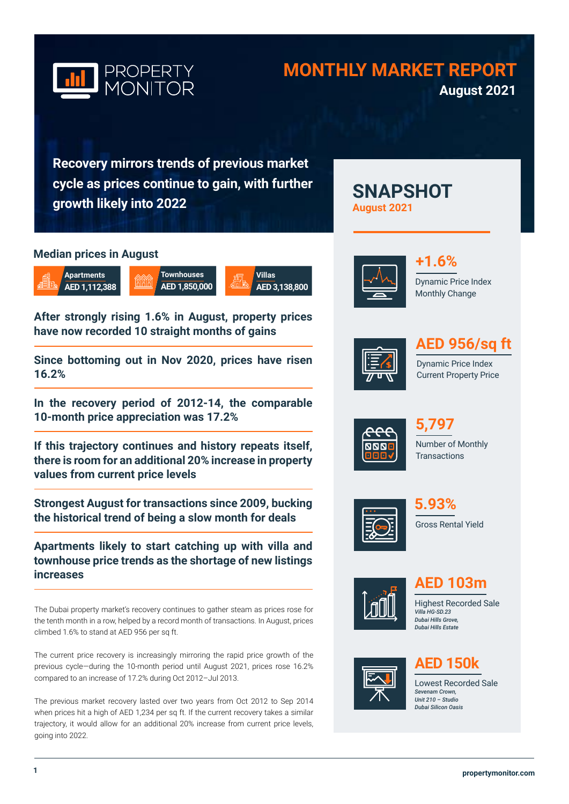

# **MONTHLY MARKET REPORT August 2021**

**SNAPSHOT** 

**Recovery mirrors trends of previous market cycle as prices continue to gain, with further growth likely into 2022**

### **Median prices in August**



**After strongly rising 1.6% in August, property prices have now recorded 10 straight months of gains** 

**Since bottoming out in Nov 2020, prices have risen 16.2%**

**In the recovery period of 2012-14, the comparable 10-month price appreciation was 17.2%**

**If this trajectory continues and history repeats itself, there is room for an additional 20% increase in property values from current price levels**

**Strongest August for transactions since 2009, bucking the historical trend of being a slow month for deals**

**Apartments likely to start catching up with villa and townhouse price trends as the shortage of new listings increases**

The Dubai property market's recovery continues to gather steam as prices rose for the tenth month in a row, helped by a record month of transactions. In August, prices climbed 1.6% to stand at AED 956 per sq ft.

The current price recovery is increasingly mirroring the rapid price growth of the previous cycle—during the 10-month period until August 2021, prices rose 16.2% compared to an increase of 17.2% during Oct 2012–Jul 2013.

The previous market recovery lasted over two years from Oct 2012 to Sep 2014 when prices hit a high of AED 1,234 per sq ft. If the current recovery takes a similar trajectory, it would allow for an additional 20% increase from current price levels, going into 2022.



**August 2021**

Dynamic Price Index Monthly Change **+1.6%**



# **AED 956/sq ft**

Dynamic Price Index Current Property Price







Gross Rental Yield **5.93%**



**AED 103m**

Highest Recorded Sale *Villa HG-SD.23 Dubai Hills Grove, Dubai Hills Estate* 



# **AED 150k**

Lowest Recorded Sale *Sevenam Crown, Unit 210 – Studio Dubai Silicon Oasis*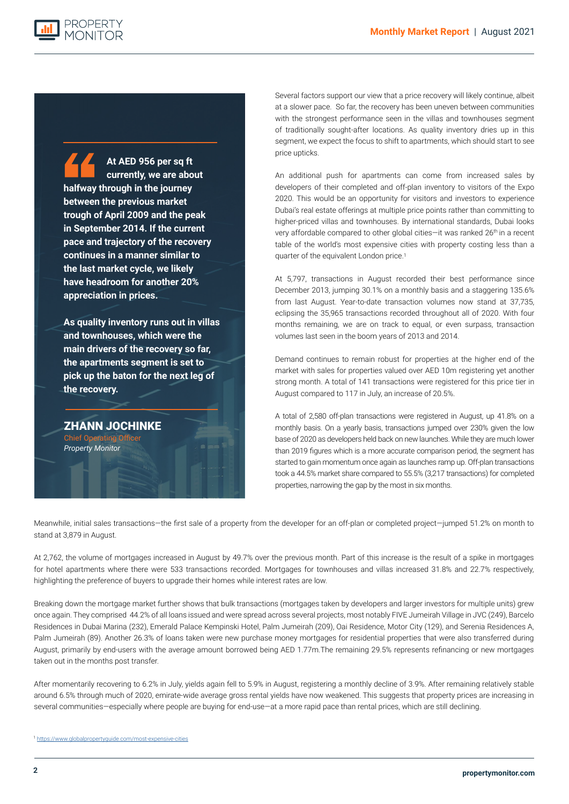

**At AED 956 per sq ft currently, we are about halfway through in the journey between the previous market trough of April 2009 and the peak in September 2014. If the current pace and trajectory of the recovery continues in a manner similar to the last market cycle, we likely have headroom for another 20% appreciation in prices.** 

**As quality inventory runs out in villas and townhouses, which were the main drivers of the recovery so far, the apartments segment is set to pick up the baton for the next leg of the recovery.**

ZHANN JOCHINKE Chief Operating *Property Monitor*

Several factors support our view that a price recovery will likely continue, albeit at a slower pace. So far, the recovery has been uneven between communities with the strongest performance seen in the villas and townhouses segment of traditionally sought-after locations. As quality inventory dries up in this segment, we expect the focus to shift to apartments, which should start to see price upticks.

An additional push for apartments can come from increased sales by developers of their completed and off-plan inventory to visitors of the Expo 2020. This would be an opportunity for visitors and investors to experience Dubai's real estate offerings at multiple price points rather than committing to higher-priced villas and townhouses. By international standards, Dubai looks very affordable compared to other global cities-it was ranked 26<sup>th</sup> in a recent table of the world's most expensive cities with property costing less than a quarter of the equivalent London price.1

At 5,797, transactions in August recorded their best performance since December 2013, jumping 30.1% on a monthly basis and a staggering 135.6% from last August. Year-to-date transaction volumes now stand at 37,735, eclipsing the 35,965 transactions recorded throughout all of 2020. With four months remaining, we are on track to equal, or even surpass, transaction volumes last seen in the boom years of 2013 and 2014.

Demand continues to remain robust for properties at the higher end of the market with sales for properties valued over AED 10m registering yet another strong month. A total of 141 transactions were registered for this price tier in August compared to 117 in July, an increase of 20.5%.

A total of 2,580 off-plan transactions were registered in August, up 41.8% on a monthly basis. On a yearly basis, transactions jumped over 230% given the low base of 2020 as developers held back on new launches. While they are much lower than 2019 figures which is a more accurate comparison period, the segment has started to gain momentum once again as launches ramp up. Off-plan transactions took a 44.5% market share compared to 55.5% (3,217 transactions) for completed properties, narrowing the gap by the most in six months.

Meanwhile, initial sales transactions—the first sale of a property from the developer for an off-plan or completed project—jumped 51.2% on month to stand at 3,879 in August.

At 2,762, the volume of mortgages increased in August by 49.7% over the previous month. Part of this increase is the result of a spike in mortgages for hotel apartments where there were 533 transactions recorded. Mortgages for townhouses and villas increased 31.8% and 22.7% respectively, highlighting the preference of buyers to upgrade their homes while interest rates are low.

Breaking down the mortgage market further shows that bulk transactions (mortgages taken by developers and larger investors for multiple units) grew once again. They comprised 44.2% of all loans issued and were spread across several projects, most notably FIVE Jumeirah Village in JVC (249), Barcelo Residences in Dubai Marina (232), Emerald Palace Kempinski Hotel, Palm Jumeirah (209), Oai Residence, Motor City (129), and Serenia Residences A, Palm Jumeirah (89). Another 26.3% of loans taken were new purchase money mortgages for residential properties that were also transferred during August, primarily by end-users with the average amount borrowed being AED 1.77m.The remaining 29.5% represents refinancing or new mortgages taken out in the months post transfer.

After momentarily recovering to 6.2% in July, yields again fell to 5.9% in August, registering a monthly decline of 3.9%. After remaining relatively stable around 6.5% through much of 2020, emirate-wide average gross rental yields have now weakened. This suggests that property prices are increasing in several communities—especially where people are buying for end-use—at a more rapid pace than rental prices, which are still declining.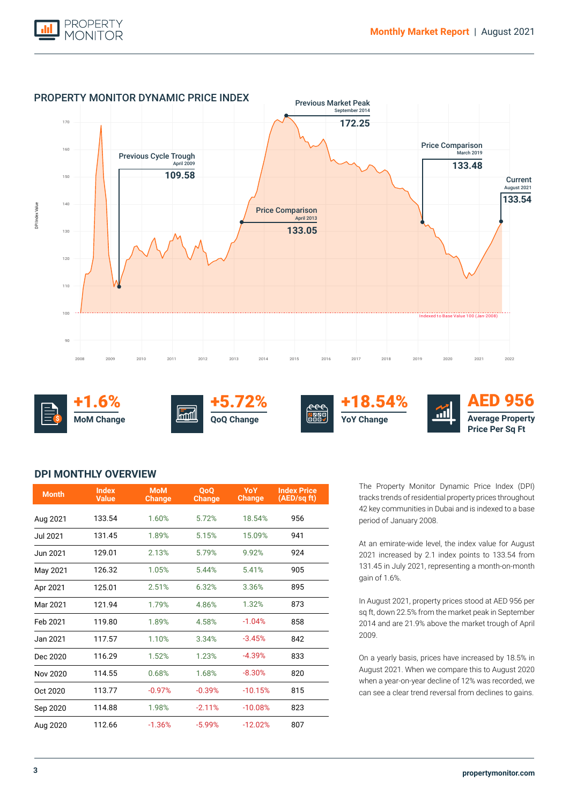



### **DPI MONTHLY OVERVIEW**

| <b>Month</b> | <b>Index</b><br><b>Value</b> | <b>MoM</b><br><b>Change</b> | <b>OoO</b><br><b>Change</b> | <b>YoY</b><br><b>Change</b> | <b>Index Price</b><br>(AED/sq ft) |
|--------------|------------------------------|-----------------------------|-----------------------------|-----------------------------|-----------------------------------|
| Aug 2021     | 133.54                       | 1.60%                       | 5.72%                       | 18.54%                      | 956                               |
| Jul 2021     | 131.45                       | 1.89%                       | 5.15%                       | 15.09%                      | 941                               |
| Jun 2021     | 129.01                       | 2.13%                       | 5.79%                       | 9.92%                       | 924                               |
| May 2021     | 126.32                       | 1.05%                       | 5.44%                       | 5.41%                       | 905                               |
| Apr 2021     | 125.01                       | 2.51%                       | 6.32%                       | 3.36%                       | 895                               |
| Mar 2021     | 121.94                       | 1.79%                       | 4.86%                       | 1.32%                       | 873                               |
| Feb 2021     | 119.80                       | 1.89%                       | 4.58%                       | $-1.04%$                    | 858                               |
| Jan 2021     | 117.57                       | 1.10%                       | 3.34%                       | $-3.45%$                    | 842                               |
| Dec 2020     | 116.29                       | 1.52%                       | 1.23%                       | $-4.39%$                    | 833                               |
| Nov 2020     | 114.55                       | 0.68%                       | 1.68%                       | $-8.30%$                    | 820                               |
| Oct 2020     | 113.77                       | $-0.97%$                    | $-0.39%$                    | $-10.15%$                   | 815                               |
| Sep 2020     | 114.88                       | 1.98%                       | $-2.11%$                    | $-10.08%$                   | 823                               |
| Aug 2020     | 112.66                       | $-1.36%$                    | $-5.99%$                    | $-12.02%$                   | 807                               |

The Property Monitor Dynamic Price Index (DPI) tracks trends of residential property prices throughout 42 key communities in Dubai and is indexed to a base period of January 2008.

At an emirate-wide level, the index value for August 2021 increased by 2.1 index points to 133.54 from 131.45 in July 2021, representing a month-on-month gain of 1.6%.

In August 2021, property prices stood at AED 956 per sq ft, down 22.5% from the market peak in September 2014 and are 21.9% above the market trough of April 2009.

On a yearly basis, prices have increased by 18.5% in August 2021. When we compare this to August 2020 when a year-on-year decline of 12% was recorded, we can see a clear trend reversal from declines to gains.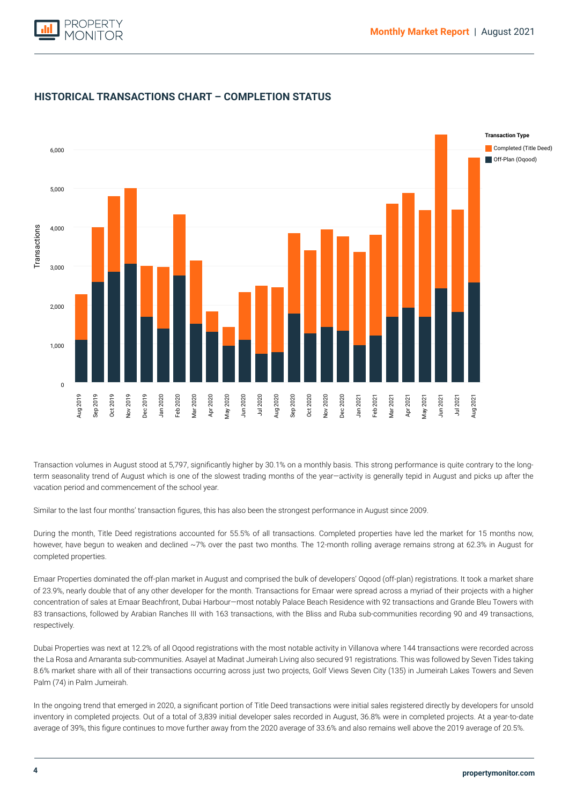![](_page_3_Picture_1.jpeg)

![](_page_3_Figure_2.jpeg)

## **HISTORICAL TRANSACTIONS CHART – COMPLETION STATUS**

vacation period and commencement of the school year. Transaction volumes in August stood at 5,797, significantly higher by 30.1% on a monthly basis. This strong performance is quite contrary to the longterm seasonality trend of August which is one of the slowest trading months of the year—activity is generally tepid in August and picks up after the

Similar to the last four months' transaction figures, this has also been the strongest performance in August since 2009.

During the month, Title Deed registrations accounted for 55.5% of all transactions. Completed properties have led the market for 15 months now, however, have begun to weaken and declined ~7% over the past two months. The 12-month rolling average remains strong at 62.3% in August for completed properties.

Emaar Properties dominated the off-plan market in August and comprised the bulk of developers' Oqood (off-plan) registrations. It took a market share of 23.9%, nearly double that of any other developer for the month. Transactions for Emaar were spread across a myriad of their projects with a higher concentration of sales at Emaar Beachfront, Dubai Harbour—most notably Palace Beach Residence with 92 transactions and Grande Bleu Towers with 83 transactions, followed by Arabian Ranches III with 163 transactions, with the Bliss and Ruba sub-communities recording 90 and 49 transactions, respectively.

Dubai Properties was next at 12.2% of all Oqood registrations with the most notable activity in Villanova where 144 transactions were recorded across the La Rosa and Amaranta sub-communities. Asayel at Madinat Jumeirah Living also secured 91 registrations. This was followed by Seven Tides taking 8.6% market share with all of their transactions occurring across just two projects, Golf Views Seven City (135) in Jumeirah Lakes Towers and Seven Palm (74) in Palm Jumeirah.

In the ongoing trend that emerged in 2020, a significant portion of Title Deed transactions were initial sales registered directly by developers for unsold inventory in completed projects. Out of a total of 3,839 initial developer sales recorded in August, 36.8% were in completed projects. At a year-to-date average of 39%, this figure continues to move further away from the 2020 average of 33.6% and also remains well above the 2019 average of 20.5%.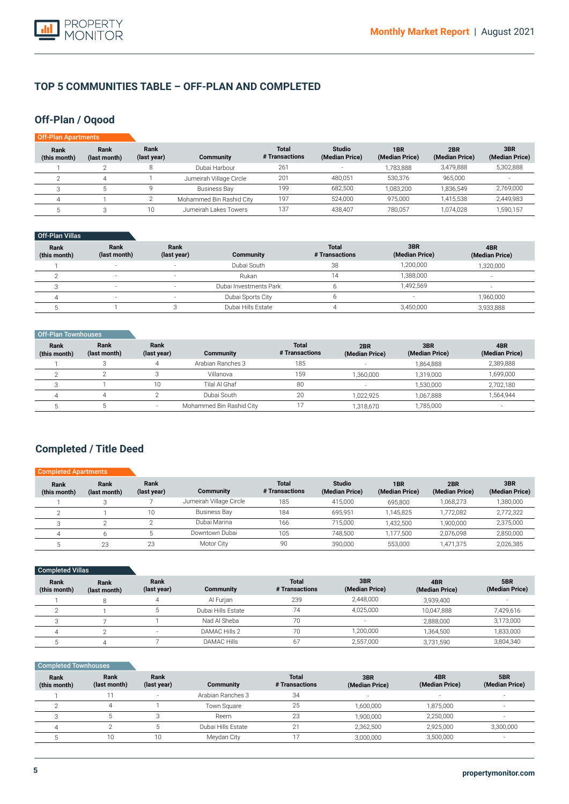![](_page_4_Picture_1.jpeg)

### **TOP 5 COMMUNITIES TABLE – OFF-PLAN AND COMPLETED**

### **Off-Plan / Oqood**

| Off-Plan Apartments  |                      |                     |                          |                                |                                 |                                   |                       |                       |
|----------------------|----------------------|---------------------|--------------------------|--------------------------------|---------------------------------|-----------------------------------|-----------------------|-----------------------|
| Rank<br>(this month) | Rank<br>(last month) | Rank<br>(last year) | <b>Community</b>         | <b>Total</b><br># Transactions | <b>Studio</b><br>(Median Price) | 1 <sub>BR</sub><br>(Median Price) | 2BR<br>(Median Price) | 3BR<br>(Median Price) |
|                      |                      |                     | Dubai Harbour            | 261                            | $\overline{\phantom{a}}$        | 1,783,888                         | 3,479,888             | 5,302,888             |
|                      | 4                    |                     | Jumeirah Village Circle  | 201                            | 480,051                         | 530.376                           | 965.000               |                       |
|                      |                      |                     | Business Bay             | 199                            | 682.500                         | 1,083,200                         | 1.836.549             | 2,769,000             |
|                      |                      |                     | Mohammed Bin Rashid City | 197                            | 524,000                         | 975.000                           | 1.415.538             | 2,449,983             |
|                      |                      | 10                  | Jumeirah Lakes Towers    | 137                            | 438,407                         | 780.057                           | 1.074.028             | 1,590,157             |

### Off-Plan Villas

| Rank<br>(this month) | Rank<br>(last month)     | <b>Rank</b><br>(last year) | Community              | <b>Total</b><br># Transactions | 3BR<br>(Median Price)    | 4BR<br>(Median Price) |
|----------------------|--------------------------|----------------------------|------------------------|--------------------------------|--------------------------|-----------------------|
|                      |                          |                            | Dubai South            | 38                             | 1,200,000                | 1,320,000             |
|                      | $\overline{\phantom{a}}$ |                            | Rukan                  | 14                             | 1.388.000                | -                     |
|                      | $\overline{a}$           | $\sim$                     | Dubai Investments Park |                                | 1.492.569                |                       |
|                      | $\overline{\phantom{a}}$ |                            | Dubai Sports City      |                                | $\overline{\phantom{a}}$ | 1,960,000             |
|                      |                          |                            | Dubai Hills Estate     |                                | 3,450,000                | 3,933,888             |

| Off-Plan Townhouses         |                      |                     |                          |                                |                          |                       |                       |
|-----------------------------|----------------------|---------------------|--------------------------|--------------------------------|--------------------------|-----------------------|-----------------------|
| <b>Rank</b><br>(this month) | Rank<br>(last month) | Rank<br>(last year) | Community                | <b>Total</b><br># Transactions | 2BR<br>(Median Price)    | 3BR<br>(Median Price) | 4BR<br>(Median Price) |
|                             |                      | 4                   | Arabian Ranches 3        | 185                            | $\overline{\phantom{0}}$ | 1,864,888             | 2,389,888             |
|                             |                      |                     | Villanova                | 159                            | 1,360,000                | 1.319.000             | 1,699,000             |
|                             |                      | 10                  | Tilal Al Ghaf            | 80                             |                          | 1,530,000             | 2,702,180             |
| Δ                           | 4                    |                     | Dubai South              | 20                             | 1,022,925                | 1,067,888             | 1,564,944             |
|                             |                      | $\sim$              | Mohammed Bin Rashid City |                                | 1,318,670                | 1,785,000             | ۰.                    |

## **Completed / Title Deed**

| <b>Completed Apartments</b> |                      |                     |                         |                                |                                 |                       |                       |                       |
|-----------------------------|----------------------|---------------------|-------------------------|--------------------------------|---------------------------------|-----------------------|-----------------------|-----------------------|
| Rank<br>(this month)        | Rank<br>(last month) | Rank<br>(last year) | Community               | <b>Total</b><br># Transactions | <b>Studio</b><br>(Median Price) | 1BR<br>(Median Price) | 2BR<br>(Median Price) | 3BR<br>(Median Price) |
|                             |                      |                     | Jumeirah Village Circle | 185                            | 415,000                         | 695,800               | 1,068,273             | 1,380,000             |
|                             |                      | 10                  | <b>Business Bay</b>     | 184                            | 695.951                         | 1,145,825             | 1,772,082             | 2,772,322             |
|                             |                      |                     | Dubai Marina            | 166                            | 715.000                         | 1,432,500             | 1,900,000             | 2,375,000             |
|                             |                      |                     | Downtown Dubai          | 105                            | 748.500                         | 1,177,500             | 2,076,098             | 2,850,000             |
|                             | 23                   | 23                  | Motor City              | 90                             | 390.000                         | 553,000               | 1.471.375             | 2,026,385             |

| Completed Villas     |                      |                     |                    |                                |                       |                       |                       |
|----------------------|----------------------|---------------------|--------------------|--------------------------------|-----------------------|-----------------------|-----------------------|
| Rank<br>(this month) | Rank<br>(last month) | Rank<br>(last year) | Community          | <b>Total</b><br># Transactions | 3BR<br>(Median Price) | 4BR<br>(Median Price) | 5BR<br>(Median Price) |
|                      | 8                    | 4                   | Al Furian          | 239                            | 2,448,000             | 3,939,400             |                       |
|                      |                      |                     | Dubai Hills Estate | 74                             | 4,025,000             | 10.047.888            | 7,429,616             |
|                      |                      |                     | Nad Al Sheba       | 70                             | ۰                     | 2,888,000             | 3,173,000             |
| 4                    |                      |                     | DAMAC Hills 2      | 70                             | 1,200,000             | 1.364.500             | 1,833,000             |
|                      |                      |                     | <b>DAMAC Hills</b> | 67                             | 2,557,000             | 3,731,590             | 3,804,340             |

### Completed Townhouses

| Rank<br>(this month) | Rank<br>(last month) | Rank<br>(last year)      | Community          | <b>Total</b><br># Transactions | 3BR<br>(Median Price) | 4BR<br>(Median Price) | 5BR<br>(Median Price) |
|----------------------|----------------------|--------------------------|--------------------|--------------------------------|-----------------------|-----------------------|-----------------------|
|                      |                      | $\overline{\phantom{a}}$ | Arabian Ranches 3  | 34                             | $\sim$                | $\sim$                |                       |
|                      |                      |                          | Town Square        | 25                             | 1,600,000             | 1,875,000             |                       |
|                      |                      |                          | Reem               | 23                             | 1,900,000             | 2,250,000             | <b>.</b>              |
|                      |                      |                          | Dubai Hills Estate | $\bigcap$                      | 2,362,500             | 2,925,000             | 3,300,000             |
|                      | 10                   | 10                       | Meydan City        |                                | 3,000,000             | 3,500,000             | $\sim$                |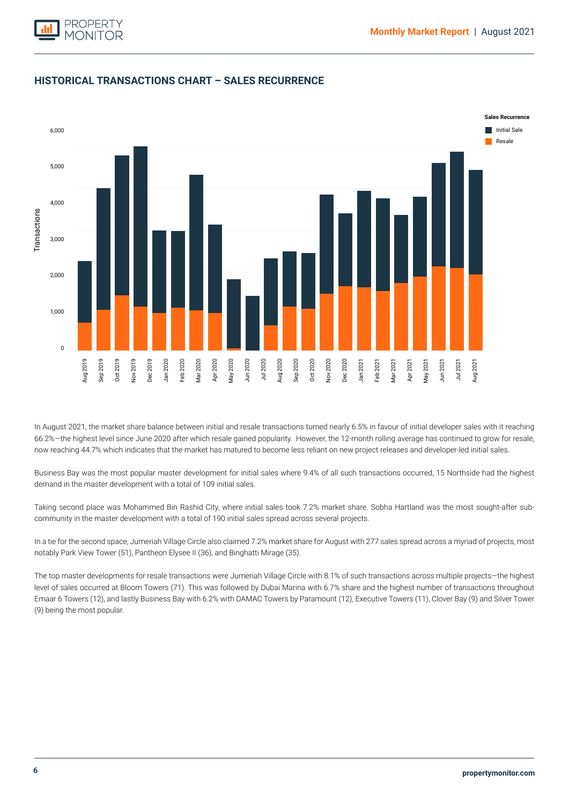![](_page_5_Picture_1.jpeg)

![](_page_5_Figure_2.jpeg)

## **HISTORICAL TRANSACTIONS CHART – SALES RECURRENCE**

In August 2021, the market share balance between initial and resale transactions turned nearly 6.5% in favour of initial developer sales with it reaching 66.2%—the highest level since June 2020 after which resale gained popularity. However, the 12-month rolling average has continued to grow for resale, now reaching 44.7% which indicates that the market has matured to become less reliant on new project releases and developer-led initial sales.

Business Bay was the most popular master development for initial sales where 9.4% of all such transactions occurred, 15 Northside had the highest demand in the master development with a total of 109 initial sales.

Taking second place was Mohammed Bin Rashid City, where initial sales took 7.2% market share. Sobha Hartland was the most sought-after subcommunity in the master development with a total of 190 initial sales spread across several projects.

In a tie for the second space, Jumeriah Village Circle also claimed 7.2% market share for August with 277 sales spread across a myriad of projects, most notably Park View Tower (51), Pantheon Elysee II (36), and Binghatti Mirage (35).

The top master developments for resale transactions were Jumeriah Village Circle with 8.1% of such transactions across multiple projects—the highest level of sales occurred at Bloom Towers (71). This was followed by Dubai Marina with 6.7% share and the highest number of transactions throughout Emaar 6 Towers (12), and lastly Business Bay with 6.2% with DAMAC Towers by Paramount (12), Executive Towers (11), Clover Bay (9) and Silver Tower (9) being the most popular.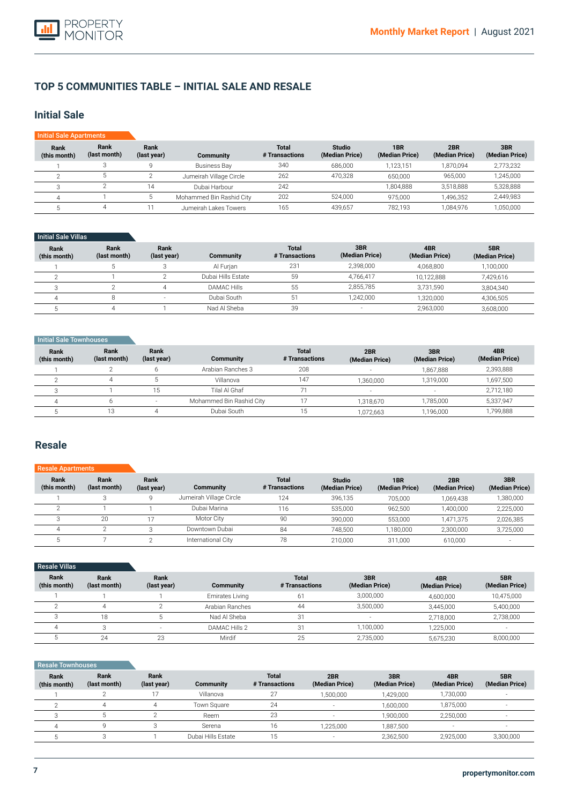![](_page_6_Picture_1.jpeg)

### **TOP 5 COMMUNITIES TABLE – INITIAL SALE AND RESALE**

### **Initial Sale**

| <b>Initial Sale Apartments</b> |                      |                     |                          |                                |                                 |                       |                       |                       |
|--------------------------------|----------------------|---------------------|--------------------------|--------------------------------|---------------------------------|-----------------------|-----------------------|-----------------------|
| Rank<br>(this month)           | Rank<br>(last month) | Rank<br>(last year) | Community                | <b>Total</b><br># Transactions | <b>Studio</b><br>(Median Price) | 1BR<br>(Median Price) | 2BR<br>(Median Price) | 3BR<br>(Median Price) |
|                                |                      |                     | <b>Business Bay</b>      | 340                            | 686,000                         | 1.123.151             | 1.870.094             | 2,773,232             |
|                                | O                    |                     | Jumeirah Village Circle  | 262                            | 470.328                         | 650.000               | 965.000               | 1,245,000             |
|                                |                      | 14                  | Dubai Harbour            | 242                            |                                 | 1,804,888             | 3.518.888             | 5,328,888             |
|                                |                      |                     | Mohammed Bin Rashid City | 202                            | 524,000                         | 975.000               | 1,496,352             | 2,449,983             |
|                                | 4                    |                     | Jumeirah Lakes Towers    | 165                            | 439,657                         | 782.193               | 1.084.976             | 1,050,000             |

#### **Initial Sale Villas**

| Rank<br>(this month) | Rank<br>(last month) | Rank<br>(last year) | Community          | <b>Total</b><br># Transactions | 3BR<br>(Median Price) | 4BR<br>(Median Price) | 5BR<br>(Median Price) |
|----------------------|----------------------|---------------------|--------------------|--------------------------------|-----------------------|-----------------------|-----------------------|
|                      |                      |                     | Al Furian          | 231                            | 2.398.000             | 4,068,800             | 1,100,000             |
|                      |                      |                     | Dubai Hills Estate | 59                             | 4.766.417             | 10.122.888            | 7,429,616             |
|                      |                      |                     | <b>DAMAC Hills</b> | 55                             | 2.855.785             | 3.731.590             | 3,804,340             |
|                      |                      |                     | Dubai South        | 51                             | 1.242.000             | 1.320.000             | 4,306,505             |
|                      |                      |                     | Nad Al Sheba       | 39                             |                       | 2,963,000             | 3,608,000             |

### **Initial Sale Townhouses**

| Rank<br>(this month) | Rank<br>(last month) | Rank<br>(last year)      | Community                | <b>Total</b><br># Transactions | 2BR<br>(Median Price) | 3BR<br>(Median Price) | 4BR<br>(Median Price) |
|----------------------|----------------------|--------------------------|--------------------------|--------------------------------|-----------------------|-----------------------|-----------------------|
|                      |                      |                          | Arabian Ranches 3        | 208                            | -                     | 1.867.888             | 2,393,888             |
|                      |                      |                          | Villanova                | 147                            | 1.360.000             | 1,319,000             | 1,697,500             |
|                      |                      | 15.                      | Tilal Al Ghaf            |                                | ۰.                    |                       | 2,712,180             |
|                      |                      | $\overline{\phantom{0}}$ | Mohammed Bin Rashid City |                                | 1,318,670             | 1.785.000             | 5,337,947             |
|                      |                      |                          | Dubai South              | 15                             | 1,072,663             | 1,196,000             | 1,799,888             |

### **Resale**

#### **Rank (this month)** 1  $\overline{2}$ 3 4 5 **Rank (last month)** 3  $\overline{\mathbb{1}}$  $\overline{20}$ 2 7 **Rank (last year)** 9 1 17 3  $\overline{2}$ **Community**  Jumeirah Village Circle Dubai Marina **Motor City** Downtown Dubai International City **Total # Transactions** 124 116  $\overline{90}$ 84 78 Resale A **Studio (Median Price)** 396,135 535,000 390,000 748,500 210,000 **1BR (Median Price)** 705,000 962,500 553,000 1,180,000 311,000 **2BR (Median Price)** 1,069,438 1,400,000 1,471,375 2,300,000 610,000 **3BR (Median Price)** 1,380,000 2,225,000 2,026,385 3,725,000 -

| <b>Resale Villas</b> |                      |                          |                 |                                |                          |                       |                       |
|----------------------|----------------------|--------------------------|-----------------|--------------------------------|--------------------------|-----------------------|-----------------------|
| Rank<br>(this month) | Rank<br>(last month) | Rank<br>(last year)      | Community       | <b>Total</b><br># Transactions | 3BR<br>(Median Price)    | 4BR<br>(Median Price) | 5BR<br>(Median Price) |
|                      |                      |                          | Emirates Living | 61                             | 3,000,000                | 4,600,000             | 10,475,000            |
|                      |                      |                          | Arabian Ranches | 44                             | 3,500,000                | 3,445,000             | 5,400,000             |
|                      | 18                   |                          | Nad Al Sheba    | 31                             | $\overline{\phantom{a}}$ | 2,718,000             | 2,738,000             |
|                      |                      | $\overline{\phantom{a}}$ | DAMAC Hills 2   | 31                             | ,100,000                 | 1,225,000             | $\sim$                |
|                      | 24                   | 23                       | Mirdif          | 25                             | 2,735,000                | 5,675,230             | 8,000,000             |

#### **Rank (this month)** 1 2 3 4 5 **Rank (last month)** 2 4 5 9 3 **Rank (last year)** 17 4 2 3 1 **Community**  Villanova Town Square Reem Serena Dubai Hills Estate **Total # Transactions** 27 24 23 16 15 **Resale Townhouse 3BR (Median Price)** 1,429,000 1,600,000 1,900,000 1,887,500 2,362,500 **2BR (Median Price)** 1,500,000 - - 1,225,000 - **5BR (Median Price)** - - - - 3,300,000 **4BR (Median Price)** 1,730,000 1,875,000 2,250,000 - 2,925,000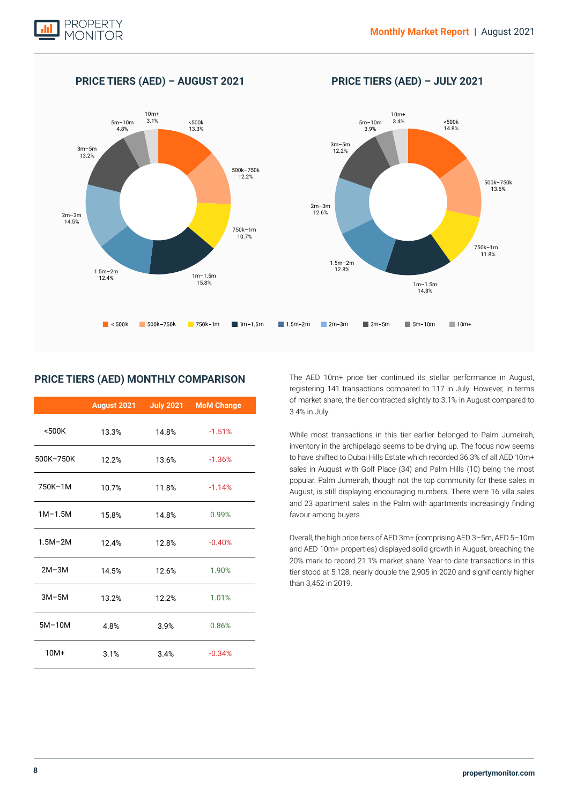![](_page_7_Picture_1.jpeg)

#### k k k k m m m m m m m m m m m m  $2m-3m$ <br>12.6% 12.6% 2m–3m 14.5%  $1m-1.5m$ <br>15.8%  $1m-1.5m$ 14.8%  $1.5m - 2m$ <br> $12.8%$ 12.8% 1.5m–2m  $12.4%$ <500k 14.8% <500k 13.3%  $3m-5m$   $3m-5m$   $12.2%$ 5m–10m 3.9% 5m–10m 4.8% 10m+ 3.4% 10m+  $3.1%$ 750k–1m 11.8% 750k–1m 10.7% 500k–750k 13.6% 500k–750k  $12.2%$

**PRICE TIERS (AED) – AUGUST 2021 PRICE TIERS (AED) – JULY 2021**

### **PRICE TIERS (AED) MONTHLY COMPARISON**

|             | August 2021 | <b>July 2021</b> | <b>MoM Change</b> |
|-------------|-------------|------------------|-------------------|
| $500K$      | 13.3%       | 14.8%            | $-1.51%$          |
| 500K-750K   | 12.2%       | 13.6%            | $-1.36%$          |
| 750K-1M     | 10.7%       | 11.8%            | $-1.14%$          |
| $1M-1.5M$   | 15.8%       | 14.8%            | 0.99%             |
| $1.5M - 2M$ | 12.4%       | 12.8%            | $-0.40%$          |
| $2M-3M$     | 14.5%       | 12.6%            | 1.90%             |
| $3M-5M$     | 13.2%       | 12.2%            | 1.01%             |
| $5M-10M$    | 4.8%        | 3.9%             | 0.86%             |
| $10M+$      | 3.1%        | 3.4%             | $-0.34%$          |

The AED 10m+ price tier continued its stellar performance in August, registering 141 transactions compared to 117 in July. However, in terms of market share, the tier contracted slightly to 3.1% in August compared to 3.4% in July.

While most transactions in this tier earlier belonged to Palm Jumeirah, inventory in the archipelago seems to be drying up. The focus now seems to have shifted to Dubai Hills Estate which recorded 36.3% of all AED 10m+ sales in August with Golf Place (34) and Palm Hills (10) being the most popular. Palm Jumeirah, though not the top community for these sales in August, is still displaying encouraging numbers. There were 16 villa sales and 23 apartment sales in the Palm with apartments increasingly finding favour among buyers.

Overall, the high price tiers of AED 3m+ (comprising AED 3–5m, AED 5–10m and AED 10m+ properties) displayed solid growth in August, breaching the 20% mark to record 21.1% market share. Year-to-date transactions in this tier stood at 5,128, nearly double the 2,905 in 2020 and significantly higher than 3,452 in 2019.